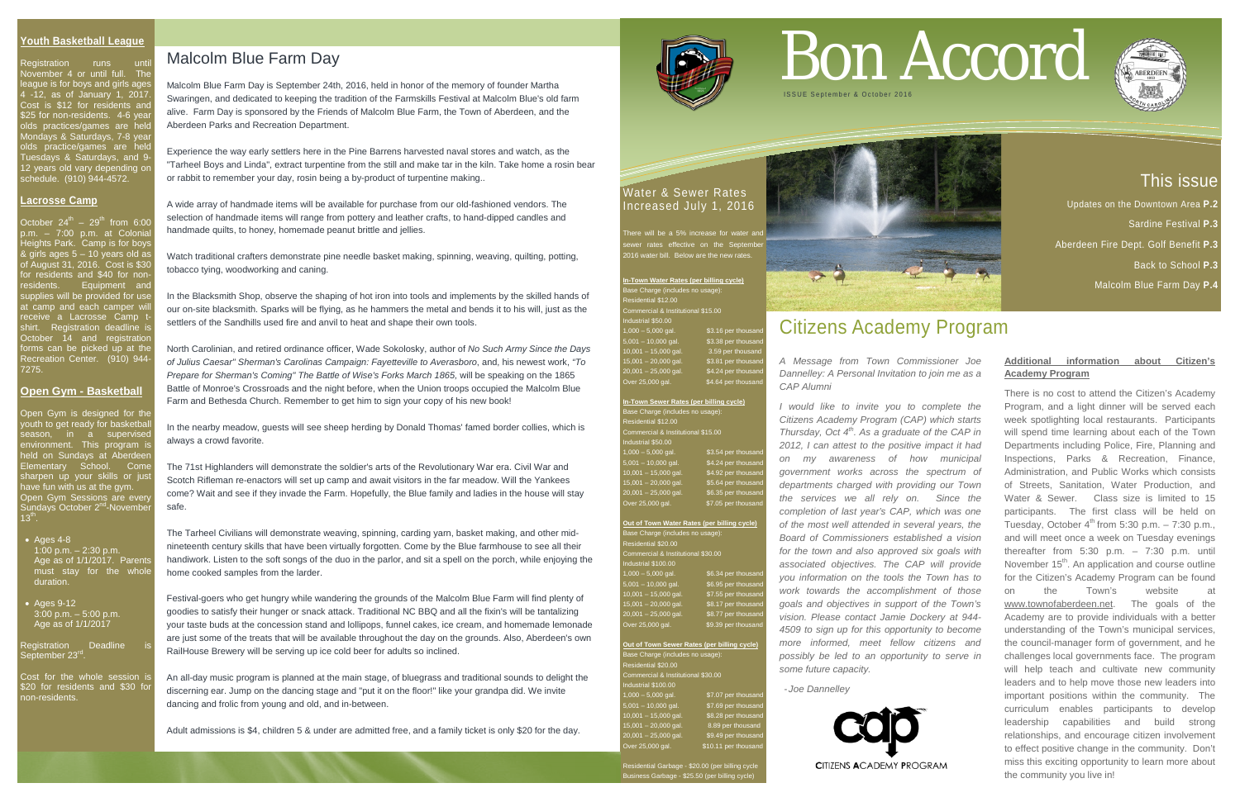# This issue

Updates on the Downtown Area **P.2** 

Sardine Festival **P.3**

Aberdeen Fire Dept. Golf Benefit **P.3**

Registration runs until November 4 or until full. The league is for boys and girls ages 4 -12, as of January 1, 2017. Cost is \$12 for residents and \$25 for non-residents. 4-6 year olds practices/games are held Mondays & Saturdays, 7-8 year olds practice/games are held Tuesdays & Saturdays, and 9- 12 years old vary depending on schedule. (910) 944-4572.

Back to School **P.3**

Malcolm Blue Farm Day **P.4**

#### **Youth Basketball League**

October  $24^{\text{th}}$  –  $29^{\text{th}}$  from 6:00 p.m. – 7:00 p.m. at Colonia Heights Park. Camp is for boys & girls ages 5 – 10 years old as of August 31, 2016. Cost is \$30 for residents and \$40 for non-**Equipment** and upplies will be provided for use it camp and each camper will receive a Lacrosse Camp t shirt. Registration deadline is October 14 and registration forms can be picked up at the Recreation Center. (910) 944- 7275.

Open Gym is designed for the youth to get ready for basketbal season, in a supervised environment. This program is neld on Sundays at Aberdeer Elementary School. Come sharpen up your skills or jus have fun with us at the gym. Open Gym Sessions are every Sundays October 2<sup>nd</sup>-November  $13^{th}$ .

#### **Lacrosse Camp**

**In-Town Water Rates (per billing cycle)** ase Charge (includes no usage): Commercial & Institutional \$15.00 Industrial \$50.00  $1,000 - 5,000$  gal. \$3.16 per thousand 5,001 – 10,000 gal. \$3.38 per thousand 10,001 – 15,000 gal. 3.59 per thousand  $15,001 - 20,000$  gal.  $$3.81$  per thousand  $20,001 - 25,000$  gal.  $$4.24$  per thousan over 25,000 gal. \$4.64 per thousand

#### **Open Gym - Basketball**

#### Base Charge (includes no usage): Residential \$20.00 ommercial & Institutional \$30.00  $d$ ustrial  $$100.00$ 1,000 – 5,000 gal. \$6.34 per thousa ,001 – 10,000 gal. \$6.95 per thousa  $10,001 - 15,000$  gal.  $37.55$  per thousand  $$8.17$  per thousand 20,001 – 25,000 gal. \$8.77 per thousand Over 25,000 gal. \$9.39 per thousand

- Ages 4-8 1:00 p.m. – 2:30 p.m. Age as of  $1/1/2017$ . Parents must stay for the whole duration.
- Ages 9-12  $3:00 \text{ p.m.} - 5:00 \text{ p.m.}$ Age as of 1/1/2017

Registration Deadline September 23<sup>rd</sup>

Cost for the whole session is \$20 for residents and \$30 for non-residents.

#### Water & Sewer Rates Increased July 1, 2016

here will be a 5% increase for water a sewer rates effective on the September <sup>2</sup>16 water bill. Below are the new rate

Residential Garbage - \$20.00 (per billing cycle iness Garbage - \$25.50 (per billing cycle

**In-Town Sewer Rates (per billing cycle)** Base Charge (includes no usage): Residential \$12.00 Commercial & Institutional \$15.00 Industrial \$50.00 \$3.54 per thousa  $5,001 - 10,000$  gal. \$4.24 per thousar  $0,001 - 15,000$  gal.  $$4.92$  per thousar  $5,001 - 20,000$  gal. \$5.64 per thousar  $20,001 - 25,000$  gal.  $$6.35$  per thousar  $\overline{\text{vec 25,000}}$  gal.  $\overline{\text{37.05}}$  per thousand **Out of Town Water Rates (per billing cycle)**

**Out of Town Sewer Rates (per billing cycle)** ase Charge (includes no usage) esidential \$20.00 mmercial & Institutional \$30.00 ustrial \$100.00  $1,000 - 5,000$  gal.  $$7.07$  per thousand 5,001 – 10,000 gal. \$7.69 per thousand 10,001 – 15,000 gal. \$8.28 per thousand 16,001 – 15,000 gal.<br>15,001 – 20,000 gal.<br>|0,001 – 25,000 gal \$9.49 per thousan Over 25,000 gal. \$10.11 per thousand

## Malcolm Blue Farm Day

Malcolm Blue Farm Day is September 24th, 2016, held in honor of the memory of founder Martha Swaringen, and dedicated to keeping the tradition of the Farmskills Festival at Malcolm Blue's old farm alive. Farm Day is sponsored by the Friends of Malcolm Blue Farm, the Town of Aberdeen, and the Aberdeen Parks and Recreation Department.

Experience the way early settlers here in the Pine Barrens harvested naval stores and watch, as the "Tarheel Boys and Linda", extract turpentine from the still and make tar in the kiln. Take home a rosin bear or rabbit to remember your day, rosin being a by-product of turpentine making..

A wide array of handmade items will be available for purchase from our old-fashioned vendors. The selection of handmade items will range from pottery and leather crafts, to hand-dipped candles and handmade quilts, to honey, homemade peanut brittle and jellies.

Watch traditional crafters demonstrate pine needle basket making, spinning, weaving, quilting, potting, tobacco tying, woodworking and caning.

In the Blacksmith Shop, observe the shaping of hot iron into tools and implements by the skilled hands of our on-site blacksmith. Sparks will be flying, as he hammers the metal and bends it to his will, just as the settlers of the Sandhills used fire and anvil to heat and shape their own tools.

North Carolinian, and retired ordinance officer, Wade Sokolosky, author of *No Such Army Since the Days of Julius Caesar" Sherman's Carolinas Campaign: Fayetteville to Averasboro*, and, his newest work, *"To Prepare for Sherman's Coming" The Battle of Wise's Forks March 1865,* will be speaking on the 1865 Battle of Monroe's Crossroads and the night before, when the Union troops occupied the Malcolm Blue Farm and Bethesda Church. Remember to get him to sign your copy of his new book!

In the nearby meadow, guests will see sheep herding by Donald Thomas' famed border collies, which is always a crowd favorite.

The 71st Highlanders will demonstrate the soldier's arts of the Revolutionary War era. Civil War and Scotch Rifleman re-enactors will set up camp and await visitors in the far meadow. Will the Yankees come? Wait and see if they invade the Farm. Hopefully, the Blue family and ladies in the house will stay safe.

The Tarheel Civilians will demonstrate weaving, spinning, carding yarn, basket making, and other midnineteenth century skills that have been virtually forgotten. Come by the Blue farmhouse to see all their handiwork. Listen to the soft songs of the duo in the parlor, and sit a spell on the porch, while enjoying the home cooked samples from the larder.

Festival-goers who get hungry while wandering the grounds of the Malcolm Blue Farm will find plenty of goodies to satisfy their hunger or snack attack. Traditional NC BBQ and all the fixin's will be tantalizing your taste buds at the concession stand and lollipops, funnel cakes, ice cream, and homemade lemonade are just some of the treats that will be available throughout the day on the grounds. Also, Aberdeen's own RailHouse Brewery will be serving up ice cold beer for adults so inclined.

An all-day music program is planned at the main stage, of bluegrass and traditional sounds to delight the discerning ear. Jump on the dancing stage and "put it on the floor!" like your grandpa did. We invite dancing and frolic from young and old, and in-between.

Adult admissions is \$4, children 5 & under are admitted free, and a family ticket is only \$20 for the day.



# Bon Accord





# Citizens Academy Program

*A Message from Town Commissioner Joe Dannelley: A Personal Invitation to join me as a CAP Alumni*

*I would like to invite you to complete the Citizens Academy Program (CAP) which starts Thursday, Oct 4th. As a graduate of the CAP in 2012, I can attest to the positive impact it had on my awareness of how municipal government works across the spectrum of departments charged with providing our Town the services we all rely on. Since the completion of last year's CAP, which was one of the most well attended in several years, the Board of Commissioners established a vision for the town and also approved six goals with associated objectives. The CAP will provide you information on the tools the Town has to work towards the accomplishment of those goals and objectives in support of the Town's vision. Please contact Jamie Dockery at 944- 4509 to sign up for this opportunity to become more informed, meet fellow citizens and possibly be led to an opportunity to serve in some future capacity.* 

- *Joe Dannelley*



#### **Additional information about Citizen's Academy Program**

There is no cost to attend the Citizen's Academy Program, and a light dinner will be served each week spotlighting local restaurants. Participants will spend time learning about each of the Town Departments including Police, Fire, Planning and Inspections, Parks & Recreation, Finance, Administration, and Public Works which consists of Streets, Sanitation, Water Production, and Water & Sewer. Class size is limited to 15 participants. The first class will be held on Tuesday, October  $4^{th}$  from 5:30 p.m.  $-7:30$  p.m., and will meet once a week on Tuesday evenings thereafter from 5:30 p.m. – 7:30 p.m. until November  $15<sup>th</sup>$ . An application and course outline for the Citizen's Academy Program can be found on the Town's website [www.townofaberdeen.net.](http://www.townofaberdeen.net/) The goals of the Academy are to provide individuals with a better understanding of the Town's municipal services, the council-manager form of government, and he challenges local governments face. The program will help teach and cultivate new community leaders and to help move those new leaders into important positions within the community. The curriculum enables participants to develop leadership capabilities and build strong relationships, and encourage citizen involvement to effect positive change in the community. Don't miss this exciting opportunity to learn more about the community you live in!

# ISSUE September & October 201 6